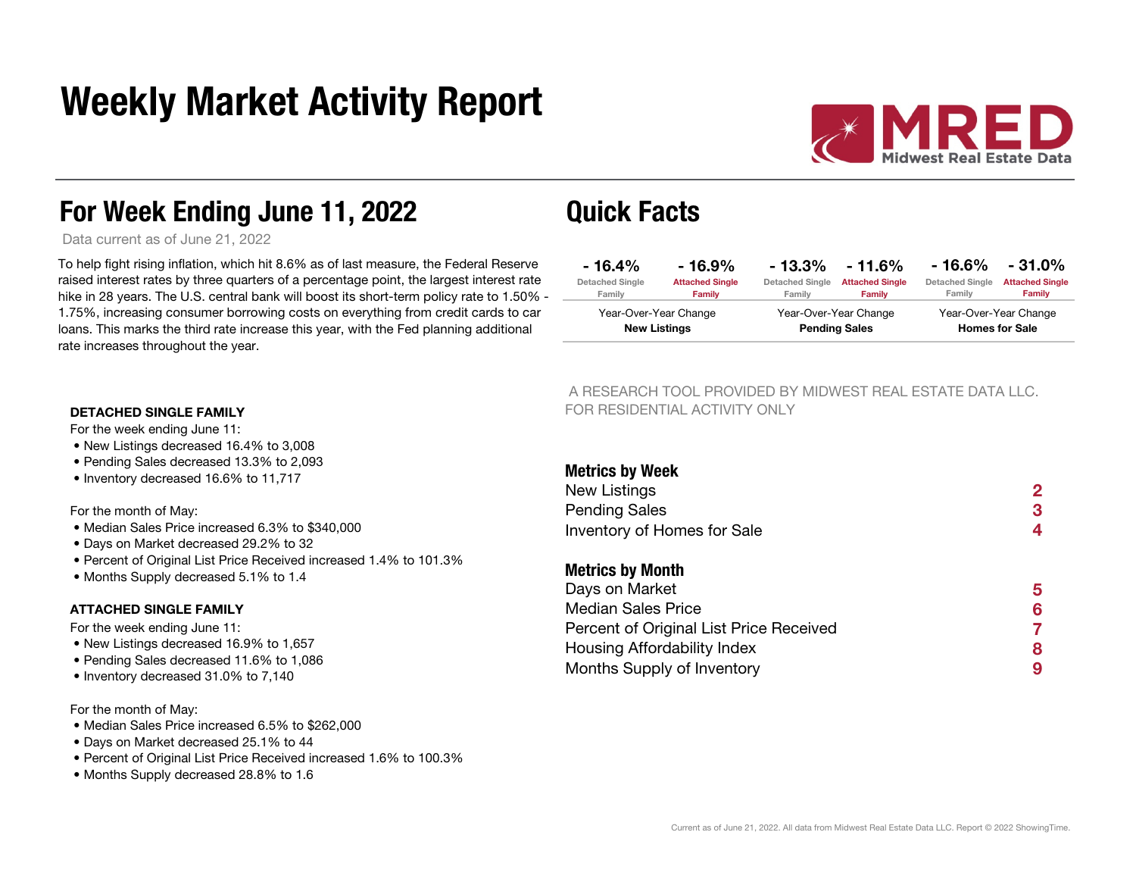# Weekly Market Activity Report



### For Week Ending June 11, 2022 Quick Facts

Data current as of June 21, 2022

To help fight rising inflation, which hit 8.6% as of last measure, the Federal Reserve raised interest rates by three quarters of a percentage point, the largest interest rate hike in 28 years. The U.S. central bank will boost its short-term policy rate to 1.50% -  $-$ 1.75%, increasing consumer borrowing costs on everything from credit cards to car loans. This marks the third rate increase this year, with the Fed planning additional rate increases throughout the year.

| $-16.4\%$                                    | $-16.9\%$              | $-13.3\%$              | $-11.6\%$                                     | - 16.6%                | $-31.0\%$              |
|----------------------------------------------|------------------------|------------------------|-----------------------------------------------|------------------------|------------------------|
| <b>Detached Single</b>                       | <b>Attached Single</b> | <b>Detached Single</b> | <b>Attached Single</b>                        | <b>Detached Single</b> | <b>Attached Single</b> |
| Family                                       | <b>Family</b>          | Family                 | Family                                        | Family                 | <b>Family</b>          |
| Year-Over-Year Change<br><b>New Listings</b> |                        |                        | Year-Over-Year Change<br><b>Pending Sales</b> | <b>Homes for Sale</b>  | Year-Over-Year Change  |

 A RESEARCH TOOL PROVIDED BY MIDWEST REAL ESTATE DATA LLC. FOR RESIDENTIAL ACTIVITY ONLY

| 13.3% to 2,093                                      | <b>Metrics by Week</b>                  |   |
|-----------------------------------------------------|-----------------------------------------|---|
| 6 to 11,717                                         | New Listings                            | 2 |
|                                                     | <b>Pending Sales</b>                    | 3 |
| sed 6.3% to \$340,000<br>1 29.2% to 32              | Inventory of Homes for Sale             | 4 |
| ce Received increased 1.4% to 101.3%<br>5.1% to 1.4 | <b>Metrics by Month</b>                 |   |
|                                                     | Days on Market                          | 5 |
|                                                     | <b>Median Sales Price</b>               | 6 |
|                                                     | Percent of Original List Price Received |   |
| 3.9% to 1,657                                       | Housing Affordability Index             | 8 |
| 11.6% to 1,086<br>⁄ი to 7 140                       | Months Supply of Inventory              | 9 |

#### DETACHED SINGLE FAMILY

For the week ending June 11:

- New Listings decreased 16.4% to 3,008
- Pending Sales decreased 13.3% to 2,093
- Inventory decreased 16.6% to 11,717

#### For the month of May:

- Median Sales Price increased 6.3% to \$340,000
- Days on Market decreased 29.2% to 32
- Percent of Original List Price Received increased 1.4% to 101.3%
- Months Supply decreased 5.1% to 1.4

#### ATTACHED SINGLE FAMILY

For the week ending June 11:

- New Listings decreased 16.9% to 1,657
- Pending Sales decreased 11.6% to 1,086
- Inventory decreased 31.0% to 7,140

#### For the month of May:

- Median Sales Price increased 6.5% to \$262,000
- Days on Market decreased 25.1% to 44
- Percent of Original List Price Received increased 1.6% to 100.3%
- Months Supply decreased 28.8% to 1.6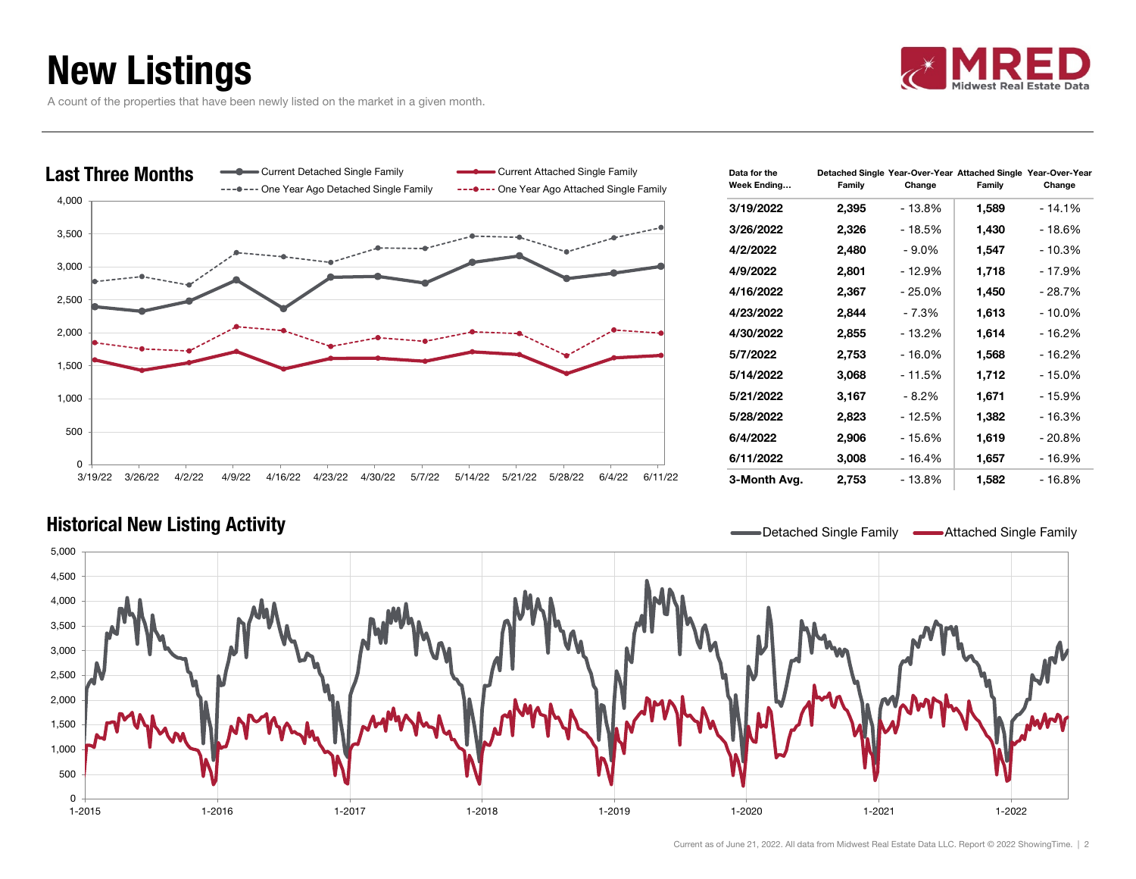# New Listings



A count of the properties that have been newly listed on the market in a given month.



| Data for the<br>Week Ending | Family | Change   | Detached Single Year-Over-Year Attached Single Year-Over-Year<br>Family | Change    |
|-----------------------------|--------|----------|-------------------------------------------------------------------------|-----------|
| 3/19/2022                   | 2,395  | - 13.8%  | 1,589                                                                   | $-14.1%$  |
| 3/26/2022                   | 2,326  | - 18.5%  | 1,430                                                                   | - 18.6%   |
| 4/2/2022                    | 2,480  | $-9.0\%$ | 1,547                                                                   | $-10.3%$  |
| 4/9/2022                    | 2,801  | - 12.9%  | 1,718                                                                   | - 17.9%   |
| 4/16/2022                   | 2,367  | - 25.0%  | 1,450                                                                   | - 28.7%   |
| 4/23/2022                   | 2,844  | - 7.3%   | 1,613                                                                   | $-10.0\%$ |
| 4/30/2022                   | 2,855  | - 13.2%  | 1,614                                                                   | - 16.2%   |
| 5/7/2022                    | 2,753  | $-16.0%$ | 1,568                                                                   | $-16.2%$  |
| 5/14/2022                   | 3,068  | - 11.5%  | 1,712                                                                   | - 15.0%   |
| 5/21/2022                   | 3,167  | $-8.2%$  | 1,671                                                                   | - 15.9%   |
| 5/28/2022                   | 2,823  | - 12.5%  | 1,382                                                                   | $-16.3%$  |
| 6/4/2022                    | 2,906  | - 15.6%  | 1,619                                                                   | $-20.8%$  |
| 6/11/2022                   | 3,008  | - 16.4%  | 1,657                                                                   | - 16.9%   |
| 3-Month Avg.                | 2,753  | - 13.8%  | 1,582                                                                   | - 16.8%   |

### Historical New Listing Activity **Detactivity** Detached Single Family Attached Single Family Attached Single Family

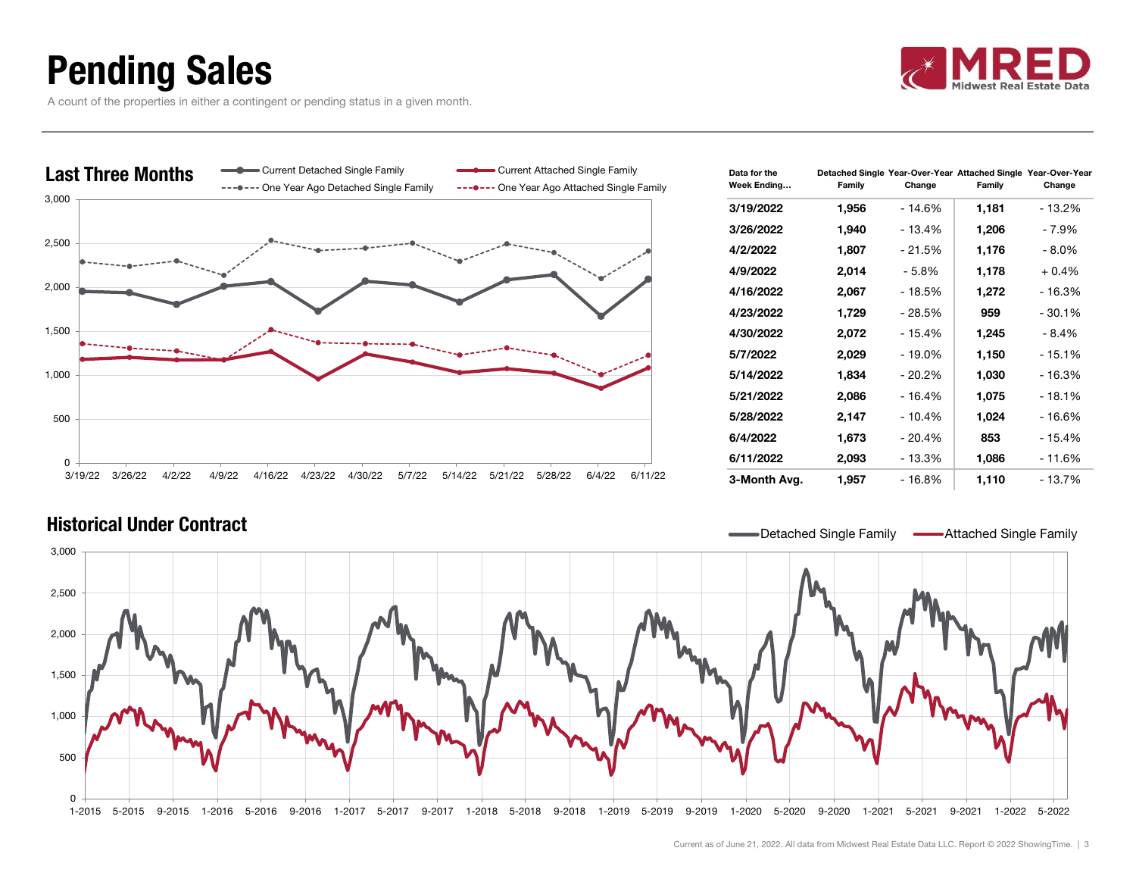## Pending Sales

A count of the properties in either a contingent or pending status in a given month.





| Data for the<br>Week Ending | Family | Change   | Detached Single Year-Over-Year Attached Single Year-Over-Year<br>Family | Change   |
|-----------------------------|--------|----------|-------------------------------------------------------------------------|----------|
| 3/19/2022                   | 1,956  | - 14.6%  | 1,181                                                                   | - 13.2%  |
| 3/26/2022                   | 1,940  | - 13.4%  | 1,206                                                                   | - 7.9%   |
| 4/2/2022                    | 1,807  | - 21.5%  | 1,176                                                                   | - 8.0%   |
| 4/9/2022                    | 2,014  | $-5.8%$  | 1,178                                                                   | $+0.4%$  |
| 4/16/2022                   | 2,067  | - 18.5%  | 1,272                                                                   | - 16.3%  |
| 4/23/2022                   | 1,729  | - 28.5%  | 959                                                                     | $-30.1%$ |
| 4/30/2022                   | 2,072  | - 15.4%  | 1,245                                                                   | $-8.4%$  |
| 5/7/2022                    | 2,029  | $-19.0%$ | 1,150                                                                   | $-15.1%$ |
| 5/14/2022                   | 1,834  | - 20.2%  | 1,030                                                                   | - 16.3%  |
| 5/21/2022                   | 2,086  | - 16.4%  | 1,075                                                                   | - 18.1%  |
| 5/28/2022                   | 2,147  | $-10.4%$ | 1,024                                                                   | - 16.6%  |
| 6/4/2022                    | 1,673  | $-20.4%$ | 853                                                                     | - 15.4%  |
| 6/11/2022                   | 2,093  | $-13.3%$ | 1,086                                                                   | $-11.6%$ |
| 3-Month Avg.                | 1,957  | - 16.8%  | 1,110                                                                   | - 13.7%  |

### Historical Under Contract

Detached Single Family **-**Attached Single Family

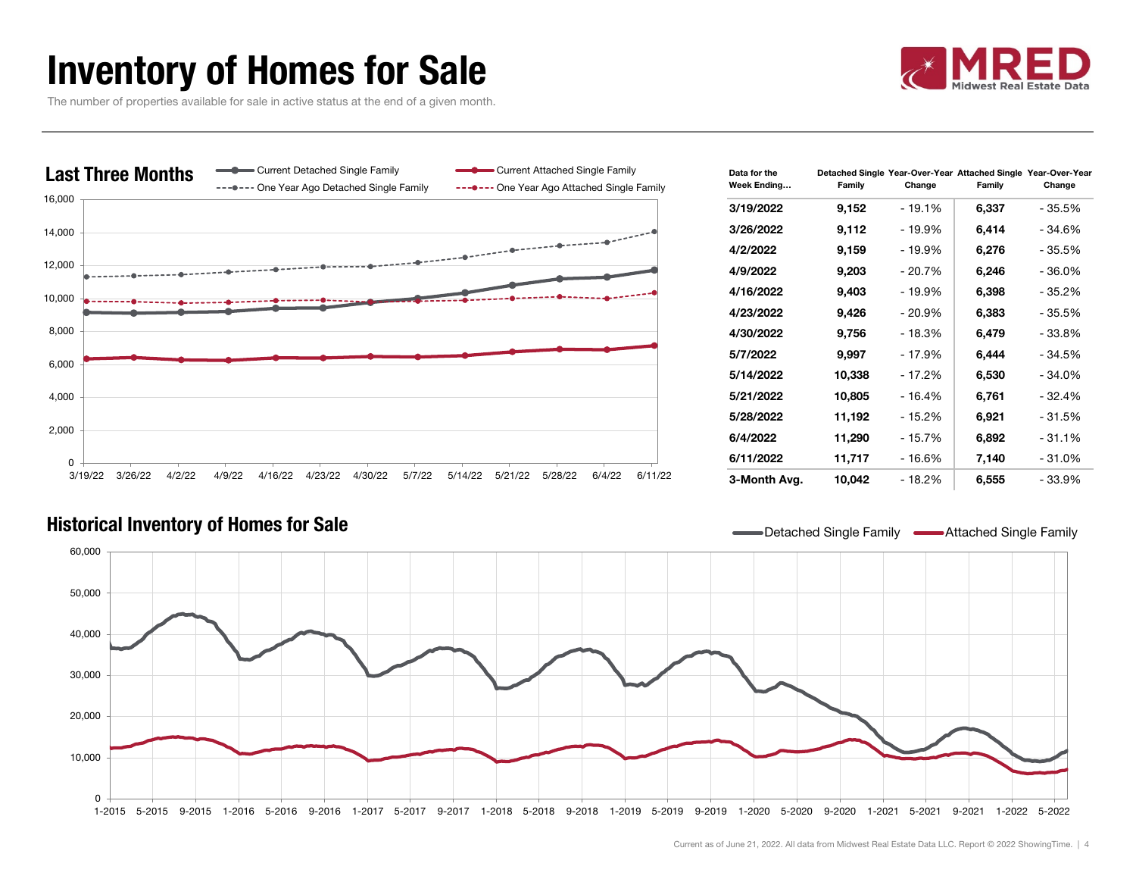## Inventory of Homes for Sale



The number of properties available for sale in active status at the end of a given month.



| Data for the<br>Week Ending | Detached Single Year-Over-Year Attached Single Year-Over-Year<br>Family | Change   | Family | Change   |
|-----------------------------|-------------------------------------------------------------------------|----------|--------|----------|
| 3/19/2022                   | 9,152                                                                   | $-19.1%$ | 6,337  | - 35.5%  |
| 3/26/2022                   | 9,112                                                                   | - 19.9%  | 6,414  | - 34.6%  |
| 4/2/2022                    | 9,159                                                                   | - 19.9%  | 6,276  | - 35.5%  |
| 4/9/2022                    | 9,203                                                                   | - 20.7%  | 6,246  | - 36.0%  |
| 4/16/2022                   | 9,403                                                                   | - 19.9%  | 6,398  | - 35.2%  |
| 4/23/2022                   | 9,426                                                                   | $-20.9%$ | 6,383  | - 35.5%  |
| 4/30/2022                   | 9,756                                                                   | - 18.3%  | 6,479  | - 33.8%  |
| 5/7/2022                    | 9,997                                                                   | - 17.9%  | 6,444  | - 34.5%  |
| 5/14/2022                   | 10,338                                                                  | - 17.2%  | 6,530  | - 34.0%  |
| 5/21/2022                   | 10,805                                                                  | $-16.4%$ | 6,761  | - 32.4%  |
| 5/28/2022                   | 11,192                                                                  | - 15.2%  | 6,921  | - 31.5%  |
| 6/4/2022                    | 11,290                                                                  | - 15.7%  | 6,892  | $-31.1%$ |
| 6/11/2022                   | 11,717                                                                  | - 16.6%  | 7,140  | - 31.0%  |
| 3-Month Avg.                | 10,042                                                                  | - 18.2%  | 6,555  | - 33.9%  |

### Historical Inventory of Homes for Sale **Detached Single Family Attached Single Family Attached Single Family**

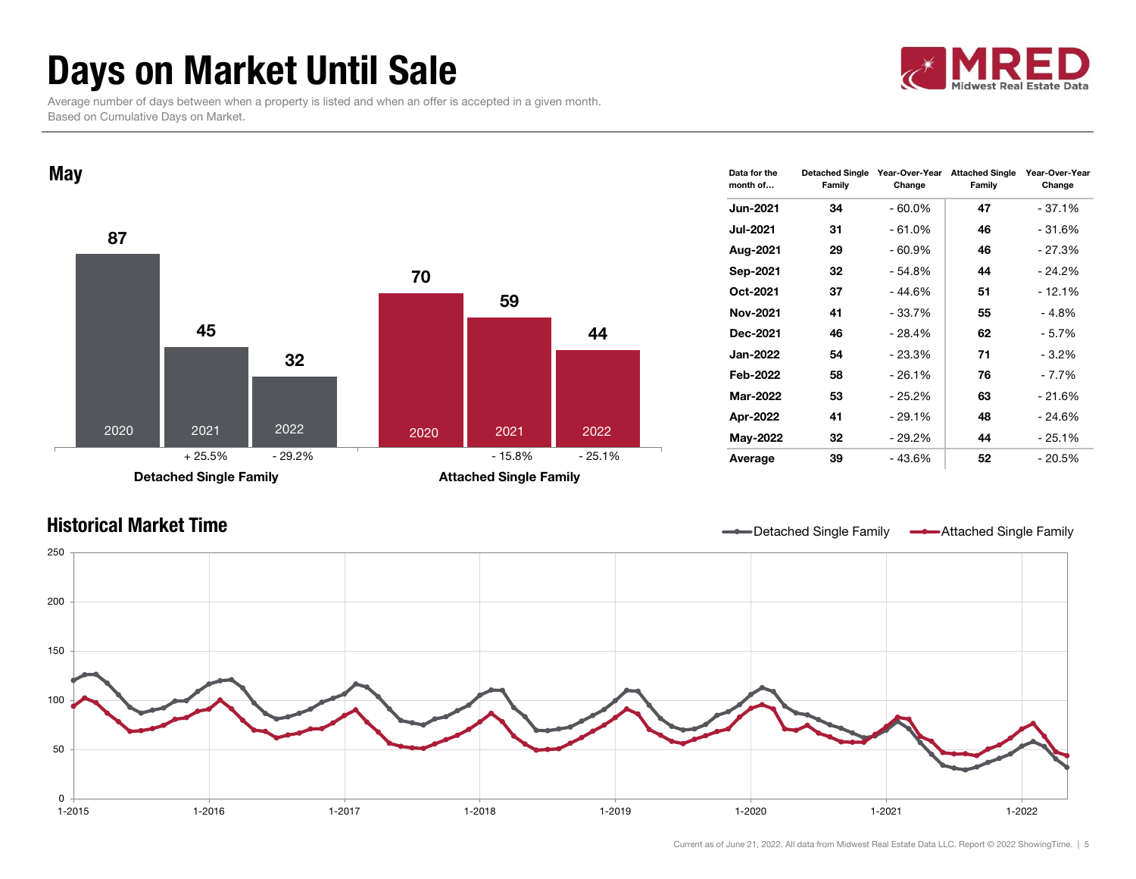# Days on Market Until Sale

 Average number of days between when a property is listed and when an offer is accepted in a given month. Based on Cumulative Days on Market.





| Data for the<br>month of | <b>Detached Single</b><br>Family | Year-Over-Year<br>Change | <b>Attached Single</b><br>Family | Year-Over-Year<br>Change |
|--------------------------|----------------------------------|--------------------------|----------------------------------|--------------------------|
| <b>Jun-2021</b>          | 34                               | - 60.0%                  | 47                               | $-37.1%$                 |
| <b>Jul-2021</b>          | 31                               | $-61.0%$                 | 46                               | - 31.6%                  |
| Aug-2021                 | 29                               | $-60.9%$                 | 46                               | - 27.3%                  |
| Sep-2021                 | 32                               | - 54.8%                  | 44                               | - 24.2%                  |
| Oct-2021                 | 37                               | - 44.6%                  | 51                               | - 12.1%                  |
| <b>Nov-2021</b>          | 41                               | - 33.7%                  | 55                               | - 4.8%                   |
| Dec-2021                 | 46                               | - 28.4%                  | 62                               | - 5.7%                   |
| <b>Jan-2022</b>          | 54                               | $-23.3%$                 | 71                               | $-3.2\%$                 |
| Feb-2022                 | 58                               | - 26.1%                  | 76                               | - 7.7%                   |
| Mar-2022                 | 53                               | - 25.2%                  | 63                               | - 21.6%                  |
| Apr-2022                 | 41                               | - 29.1%                  | 48                               | - 24.6%                  |
| May-2022                 | 32                               | - 29.2%                  | 44                               | - 25.1%                  |
| Average                  | 39                               | - 43.6%                  | 52                               | - 20.5%                  |



Current as of June 21, 2022. All data from Midwest Real Estate Data LLC. Report © 2022 ShowingTime. | 5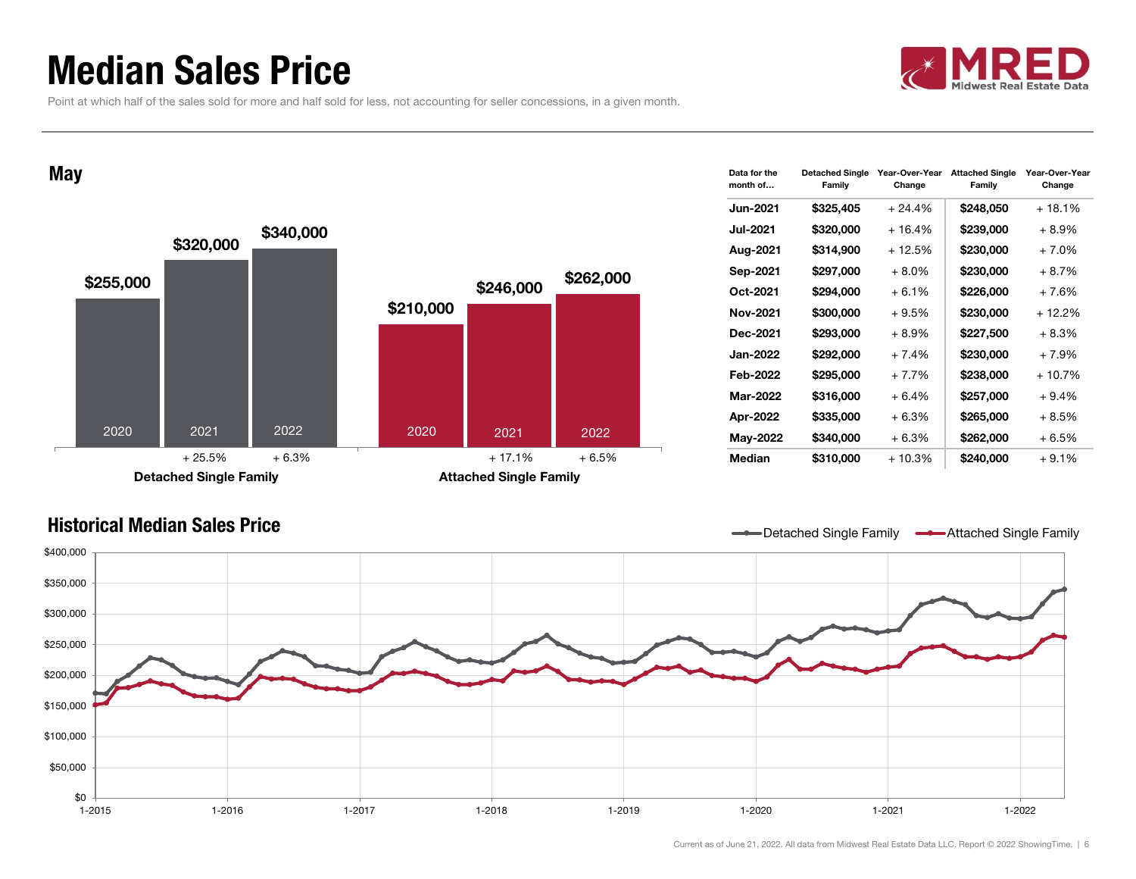### Median Sales Price

Point at which half of the sales sold for more and half sold for less, not accounting for seller concessions, in a given month.

**May** 



| Data for the<br>month of | <b>Detached Single</b><br>Family | Year-Over-Year<br>Change | <b>Attached Single</b><br>Family | Year-Over-Year<br>Change |
|--------------------------|----------------------------------|--------------------------|----------------------------------|--------------------------|
| <b>Jun-2021</b>          | \$325,405                        | $+24.4%$                 | \$248,050                        | + 18.1%                  |
| Jul-2021                 | \$320,000                        | $+16.4%$                 | \$239,000                        | $+8.9%$                  |
| Aug-2021                 | \$314,900                        | $+12.5%$                 | \$230,000                        | $+7.0%$                  |
| Sep-2021                 | \$297,000                        | $+8.0\%$                 | \$230,000                        | $+8.7%$                  |
| Oct-2021                 | \$294,000                        | + 6.1%                   | \$226,000                        | + 7.6%                   |
| Nov-2021                 | \$300,000                        | $+9.5%$                  | \$230,000                        | + 12.2%                  |
| Dec-2021                 | \$293,000                        | $+8.9\%$                 | \$227,500                        | $+8.3%$                  |
| Jan-2022                 | \$292,000                        | $+7.4%$                  | \$230,000                        | $+7.9%$                  |
| Feb-2022                 | \$295,000                        | $+7.7%$                  | \$238,000                        | + 10.7%                  |
| Mar-2022                 | \$316,000                        | + 6.4%                   | \$257,000                        | $+9.4%$                  |
| Apr-2022                 | \$335,000                        | $+6.3%$                  | \$265,000                        | $+8.5%$                  |
| May-2022                 | \$340,000                        | $+6.3%$                  | \$262,000                        | $+6.5%$                  |
| Median                   | \$310,000                        | $+10.3%$                 | \$240,000                        | $+9.1%$                  |

### Historical Median Sales Price

Detached Single Family **-Attached Single Family** 

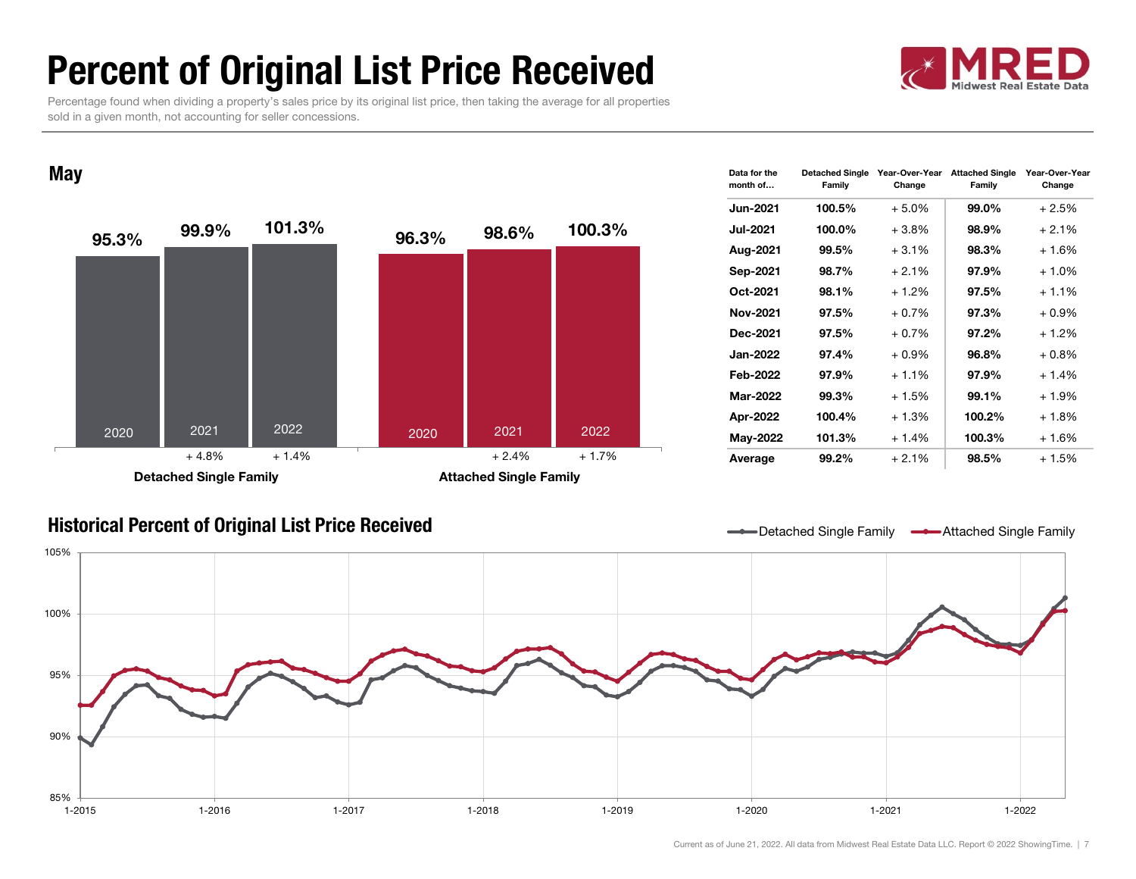# Percent of Original List Price Received

 Percentage found when dividing a property's sales price by its original list price, then taking the average for all properties sold in a given month, not accounting for seller concessions.

#### **May**



| Data for the<br>month of | <b>Detached Single</b><br>Family | Year-Over-Year<br>Change | <b>Attached Single</b><br>Family | Year-Over-Year<br>Change |
|--------------------------|----------------------------------|--------------------------|----------------------------------|--------------------------|
| <b>Jun-2021</b>          | 100.5%                           | $+5.0%$                  | 99.0%                            | $+2.5%$                  |
| <b>Jul-2021</b>          | 100.0%                           | $+3.8%$                  | 98.9%                            | $+2.1%$                  |
| Aug-2021                 | 99.5%                            | $+3.1%$                  | 98.3%                            | $+1.6%$                  |
| Sep-2021                 | 98.7%                            | $+2.1%$                  | 97.9%                            | $+1.0%$                  |
| Oct-2021                 | 98.1%                            | $+1.2%$                  | 97.5%                            | $+1.1\%$                 |
| Nov-2021                 | 97.5%                            | $+0.7%$                  | 97.3%                            | $+0.9\%$                 |
| Dec-2021                 | 97.5%                            | $+0.7%$                  | 97.2%                            | $+1.2%$                  |
| <b>Jan-2022</b>          | 97.4%                            | $+0.9\%$                 | 96.8%                            | $+0.8%$                  |
| Feb-2022                 | 97.9%                            | $+1.1%$                  | 97.9%                            | $+1.4%$                  |
| <b>Mar-2022</b>          | 99.3%                            | $+1.5%$                  | 99.1%                            | $+1.9%$                  |
| Apr-2022                 | 100.4%                           | $+1.3%$                  | 100.2%                           | $+1.8%$                  |
| <b>May-2022</b>          | 101.3%                           | $+1.4%$                  | 100.3%                           | + 1.6%                   |
| Average                  | 99.2%                            | $+2.1%$                  | 98.5%                            | $+1.5%$                  |

### Historical Percent of Original List Price Received Detached Single Family Attached Single Family Attached Single Family

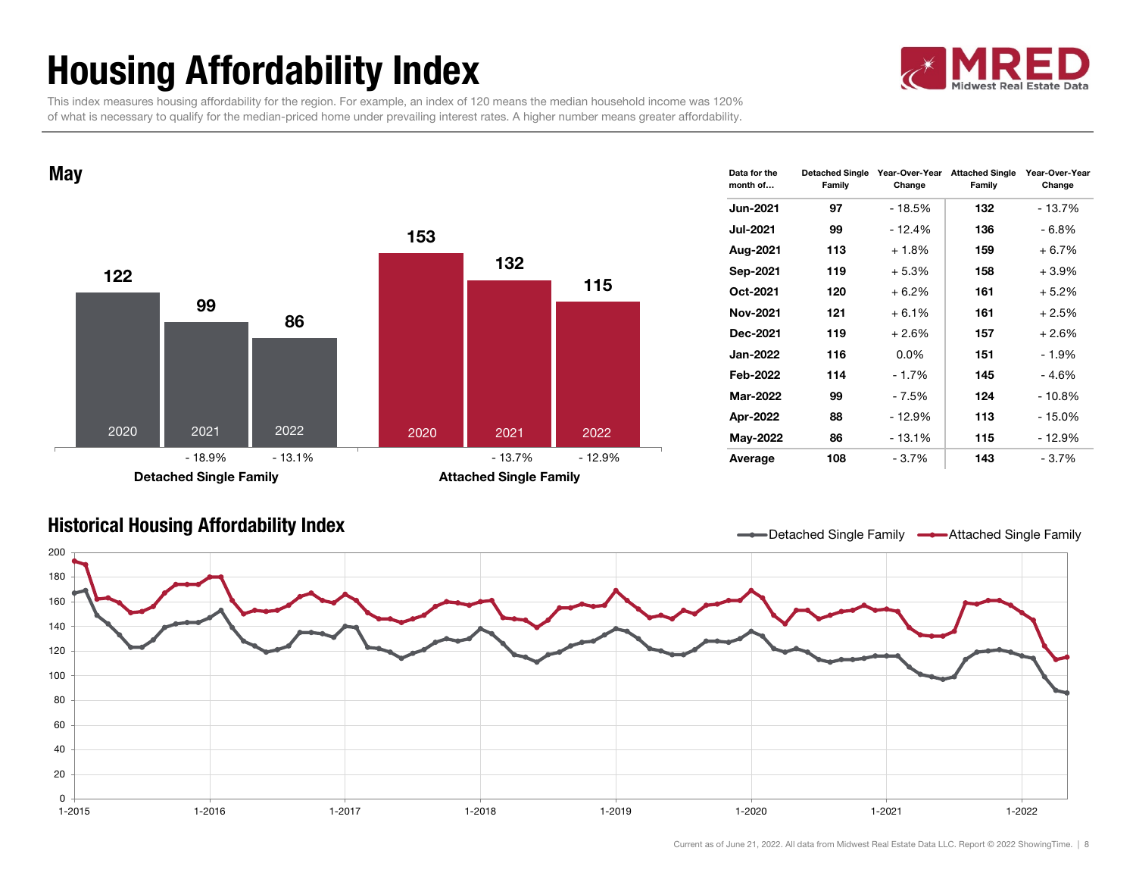# Housing Affordability Index



 This index measures housing affordability for the region. For example, an index of 120 means the median household income was 120% of what is necessary to qualify for the median-priced home under prevailing interest rates. A higher number means greater affordability.



| Data for the<br>month of | <b>Detached Single</b><br>Family | Year-Over-Year<br>Change | <b>Attached Single</b><br>Family | Year-Over-Year<br>Change |
|--------------------------|----------------------------------|--------------------------|----------------------------------|--------------------------|
| <b>Jun-2021</b>          | 97                               | - 18.5%                  | 132                              | - 13.7%                  |
| <b>Jul-2021</b>          | 99                               | $-12.4%$                 | 136                              | - 6.8%                   |
| Aug-2021                 | 113                              | $+1.8%$                  | 159                              | $+6.7%$                  |
| Sep-2021                 | 119                              | $+5.3%$                  | 158                              | $+3.9%$                  |
| Oct-2021                 | 120                              | $+6.2%$                  | 161                              | $+5.2%$                  |
| Nov-2021                 | 121                              | $+6.1%$                  | 161                              | $+2.5%$                  |
| Dec-2021                 | 119                              | $+2.6%$                  | 157                              | $+2.6%$                  |
| <b>Jan-2022</b>          | 116                              | 0.0%                     | 151                              | $-1.9%$                  |
| Feb-2022                 | 114                              | $-1.7%$                  | 145                              | - 4.6%                   |
| <b>Mar-2022</b>          | 99                               | - 7.5%                   | 124                              | $-10.8\%$                |
| Apr-2022                 | 88                               | - 12.9%                  | 113                              | - 15.0%                  |
| May-2022                 | 86                               | $-13.1%$                 | 115                              | - 12.9%                  |
| Average                  | 108                              | $-3.7%$                  | 143                              | - 3.7%                   |